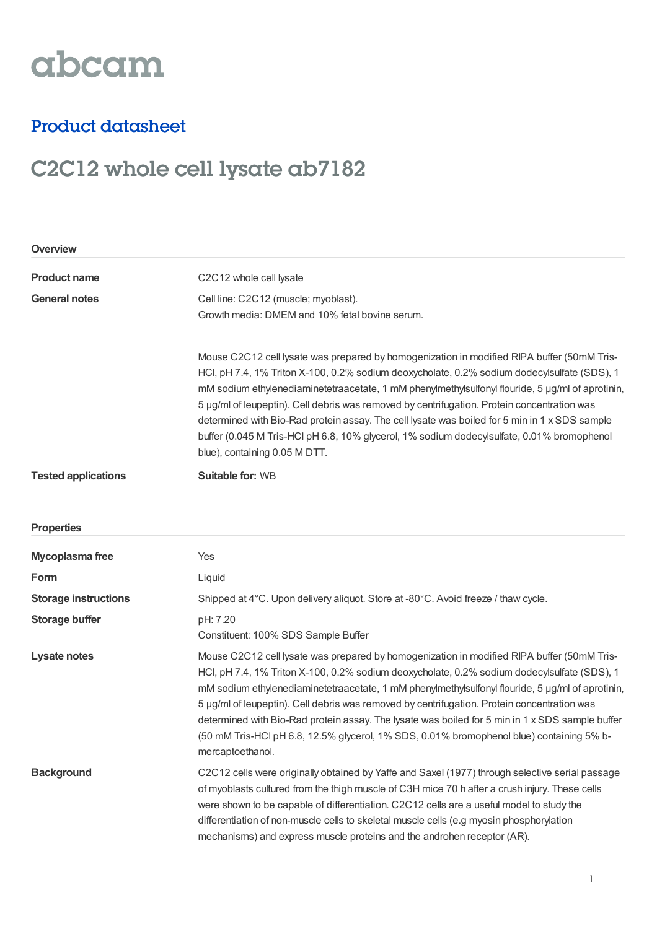# abcam

### Product datasheet

## C2C12 whole cell lysate ab7182

| <b>Overview</b>             |                                                                                                                                                                                                                                                                                                                                                                                                                                                                                                                                                                                                                              |  |
|-----------------------------|------------------------------------------------------------------------------------------------------------------------------------------------------------------------------------------------------------------------------------------------------------------------------------------------------------------------------------------------------------------------------------------------------------------------------------------------------------------------------------------------------------------------------------------------------------------------------------------------------------------------------|--|
| <b>Product name</b>         | C2C12 whole cell lysate                                                                                                                                                                                                                                                                                                                                                                                                                                                                                                                                                                                                      |  |
| <b>General notes</b>        | Cell line: C2C12 (muscle; myoblast).<br>Growth media: DMEM and 10% fetal bovine serum.                                                                                                                                                                                                                                                                                                                                                                                                                                                                                                                                       |  |
|                             | Mouse C2C12 cell lysate was prepared by homogenization in modified RIPA buffer (50mM Tris-<br>HCl, pH 7.4, 1% Triton X-100, 0.2% sodium deoxycholate, 0.2% sodium dodecylsulfate (SDS), 1<br>mM sodium ethylenediaminetetraacetate, 1 mM phenylmethylsulfonyl flouride, 5 µg/ml of aprotinin,<br>5 µg/ml of leupeptin). Cell debris was removed by centrifugation. Protein concentration was<br>determined with Bio-Rad protein assay. The cell lysate was boiled for 5 min in 1 x SDS sample<br>buffer (0.045 M Tris-HCl pH 6.8, 10% glycerol, 1% sodium dodecylsulfate, 0.01% bromophenol<br>blue), containing 0.05 M DTT. |  |
| <b>Tested applications</b>  | Suitable for: WB                                                                                                                                                                                                                                                                                                                                                                                                                                                                                                                                                                                                             |  |
| <b>Properties</b>           |                                                                                                                                                                                                                                                                                                                                                                                                                                                                                                                                                                                                                              |  |
| Mycoplasma free             | Yes                                                                                                                                                                                                                                                                                                                                                                                                                                                                                                                                                                                                                          |  |
| Form                        | Liquid                                                                                                                                                                                                                                                                                                                                                                                                                                                                                                                                                                                                                       |  |
| <b>Storage instructions</b> | Shipped at 4°C. Upon delivery aliquot. Store at -80°C. Avoid freeze / thaw cycle.                                                                                                                                                                                                                                                                                                                                                                                                                                                                                                                                            |  |
| <b>Storage buffer</b>       | pH: 7.20<br>Constituent: 100% SDS Sample Buffer                                                                                                                                                                                                                                                                                                                                                                                                                                                                                                                                                                              |  |
| Lysate notes                | Mouse C2C12 cell lysate was prepared by homogenization in modified RIPA buffer (50mM Tris-<br>HCl, pH 7.4, 1% Triton X-100, 0.2% sodium deoxycholate, 0.2% sodium dodecylsulfate (SDS), 1<br>mM sodium ethylenediaminetetraacetate, 1 mM phenylmethylsulfonyl flouride, 5 µg/ml of aprotinin,<br>5 µg/ml of leupeptin). Cell debris was removed by centrifugation. Protein concentration was<br>determined with Bio-Rad protein assay. The lysate was boiled for 5 min in 1 x SDS sample buffer<br>(50 mM Tris-HCl pH 6.8, 12.5% glycerol, 1% SDS, 0.01% bromophenol blue) containing 5% b-<br>mercaptoethanol.              |  |
| <b>Background</b>           | C2C12 cells were originally obtained by Yaffe and Saxel (1977) through selective serial passage<br>of myoblasts cultured from the thigh muscle of C3H mice 70 h after a crush injury. These cells<br>were shown to be capable of differentiation. C2C12 cells are a useful model to study the<br>differentiation of non-muscle cells to skeletal muscle cells (e.g myosin phosphorylation<br>mechanisms) and express muscle proteins and the androhen receptor (AR).                                                                                                                                                         |  |